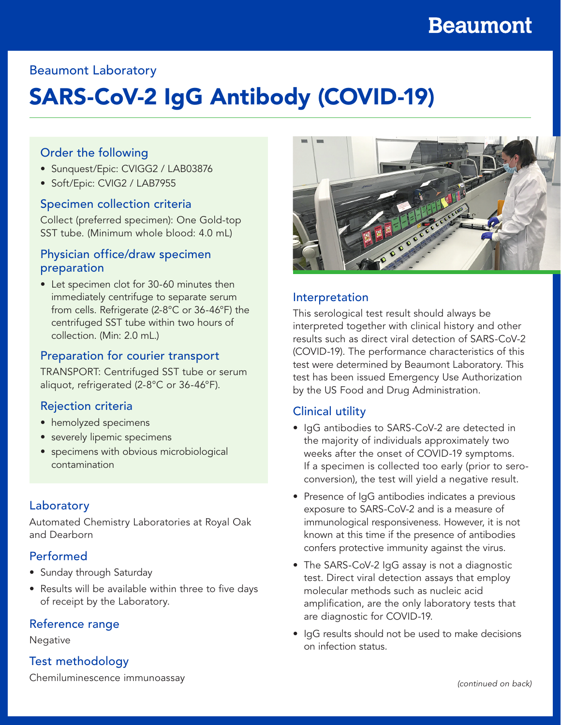# **Beaumont**

## Beaumont Laboratory

# SARS-CoV-2 IgG Antibody (COVID-19)

#### Order the following

- Sunquest/Epic: CVIGG2 / LAB03876
- Soft/Epic: CVIG2 / LAB7955

#### Specimen collection criteria

Collect (preferred specimen): One Gold-top SST tube. (Minimum whole blood: 4.0 mL)

#### Physician office/draw specimen preparation

• Let specimen clot for 30-60 minutes then immediately centrifuge to separate serum from cells. Refrigerate (2-8°C or 36-46°F) the centrifuged SST tube within two hours of collection. (Min: 2.0 mL.)

#### Preparation for courier transport

TRANSPORT: Centrifuged SST tube or serum aliquot, refrigerated (2-8°C or 36-46°F).

#### Rejection criteria

- hemolyzed specimens
- severely lipemic specimens
- specimens with obvious microbiological contamination

#### Laboratory

Automated Chemistry Laboratories at Royal Oak and Dearborn

#### Performed

- Sunday through Saturday
- Results will be available within three to five days of receipt by the Laboratory.

#### Reference range

#### **Negative**

## Test methodology



## Interpretation

This serological test result should always be interpreted together with clinical history and other results such as direct viral detection of SARS-CoV-2 (COVID-19). The performance characteristics of this test were determined by Beaumont Laboratory. This test has been issued Emergency Use Authorization by the US Food and Drug Administration.

## Clinical utility

- IgG antibodies to SARS-CoV-2 are detected in the majority of individuals approximately two weeks after the onset of COVID-19 symptoms. If a specimen is collected too early (prior to seroconversion), the test will yield a negative result.
- Presence of IgG antibodies indicates a previous exposure to SARS-CoV-2 and is a measure of immunological responsiveness. However, it is not known at this time if the presence of antibodies confers protective immunity against the virus.
- The SARS-CoV-2 IgG assay is not a diagnostic test. Direct viral detection assays that employ molecular methods such as nucleic acid amplification, are the only laboratory tests that are diagnostic for COVID-19.
- IgG results should not be used to make decisions on infection status.